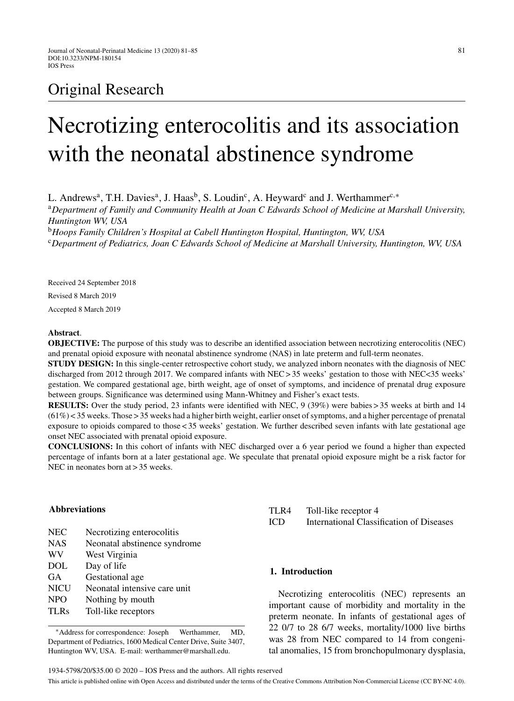## Original Research

# Necrotizing enterocolitis and its association with the neonatal abstinence syndrome

L. Andrews<sup>a</sup>, T.H. Davies<sup>a</sup>, J. Haas<sup>b</sup>, S. Loudin<sup>c</sup>, A. Heyward<sup>c</sup> and J. Werthammer<sup>c,\*</sup>

<sup>a</sup>*Department of Family and Community Health at Joan C Edwards School of Medicine at Marshall University, Huntington WV, USA*

<sup>b</sup>*Hoops Family Children's Hospital at Cabell Huntington Hospital, Huntington, WV, USA* <sup>c</sup>*Department of Pediatrics, Joan C Edwards School of Medicine at Marshall University, Huntington, WV, USA*

Received 24 September 2018

Revised 8 March 2019

Accepted 8 March 2019

#### **Abstract**.

**OBJECTIVE:** The purpose of this study was to describe an identified association between necrotizing enterocolitis (NEC) and prenatal opioid exposure with neonatal abstinence syndrome (NAS) in late preterm and full-term neonates.

**STUDY DESIGN:** In this single-center retrospective cohort study, we analyzed inborn neonates with the diagnosis of NEC discharged from 2012 through 2017. We compared infants with NEC > 35 weeks' gestation to those with NEC < 35 weeks' gestation. We compared gestational age, birth weight, age of onset of symptoms, and incidence of prenatal drug exposure between groups. Significance was determined using Mann-Whitney and Fisher's exact tests.

**RESULTS:** Over the study period, 23 infants were identified with NEC, 9 (39%) were babies > 35 weeks at birth and 14 (61%) < 35 weeks. Those > 35 weeks had a higher birth weight, earlier onset of symptoms, and a higher percentage of prenatal exposure to opioids compared to those < 35 weeks' gestation. We further described seven infants with late gestational age onset NEC associated with prenatal opioid exposure.

**CONCLUSIONS:** In this cohort of infants with NEC discharged over a 6 year period we found a higher than expected percentage of infants born at a later gestational age. We speculate that prenatal opioid exposure might be a risk factor for NEC in neonates born at > 35 weeks.

#### **Abbreviations**

| NEC  | Necrotizing enterocolitis    |
|------|------------------------------|
| NAS  | Neonatal abstinence syndrome |
| WV   | West Virginia                |
| DOL  | Day of life                  |
| GА   | Gestational age              |
| NICU | Neonatal intensive care unit |
| NPO  | Nothing by mouth             |
| TLRs | Toll-like receptors          |

∗Address for correspondence: Joseph Werthammer, MD, Department of Pediatrics, 1600 Medical Center Drive, Suite 3407, Huntington WV, USA. E-mail: [werthammer@marshall.edu.](mailto:werthammer@marshall.edu)

| TLR4       | Toll-like receptor 4                     |
|------------|------------------------------------------|
| <b>ICD</b> | International Classification of Diseases |

#### **1. Introduction**

Necrotizing enterocolitis (NEC) represents an important cause of morbidity and mortality in the preterm neonate. In infants of gestational ages of 22 0/7 to 28 6/7 weeks, mortality/1000 live births was 28 from NEC compared to 14 from congenital anomalies, 15 from bronchopulmonary dysplasia,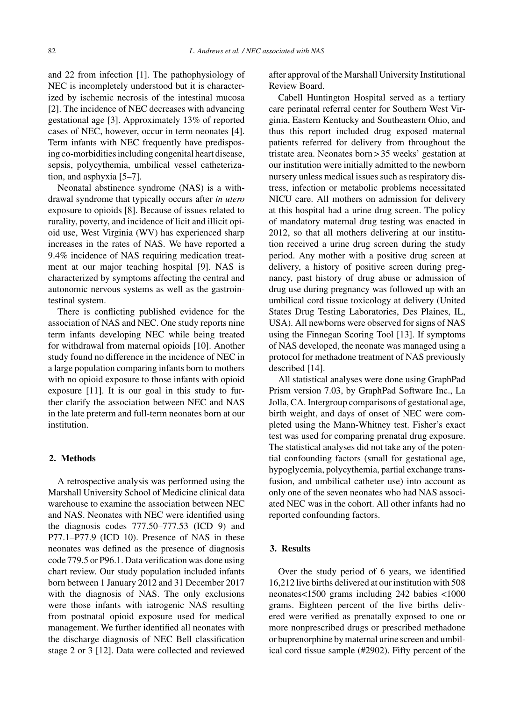and 22 from infection [1]. The pathophysiology of NEC is incompletely understood but it is characterized by ischemic necrosis of the intestinal mucosa [2]. The incidence of NEC decreases with advancing gestational age [3]. Approximately 13% of reported cases of NEC, however, occur in term neonates [4]. Term infants with NEC frequently have predisposing co-morbidities including congenital heart disease, sepsis, polycythemia, umbilical vessel catheterization, and asphyxia [5–7].

Neonatal abstinence syndrome (NAS) is a withdrawal syndrome that typically occurs after *in utero* exposure to opioids [8]. Because of issues related to rurality, poverty, and incidence of licit and illicit opioid use, West Virginia (WV) has experienced sharp increases in the rates of NAS. We have reported a 9.4% incidence of NAS requiring medication treatment at our major teaching hospital [9]. NAS is characterized by symptoms affecting the central and autonomic nervous systems as well as the gastrointestinal system.

There is conflicting published evidence for the association of NAS and NEC. One study reports nine term infants developing NEC while being treated for withdrawal from maternal opioids [10]. Another study found no difference in the incidence of NEC in a large population comparing infants born to mothers with no opioid exposure to those infants with opioid exposure [11]. It is our goal in this study to further clarify the association between NEC and NAS in the late preterm and full-term neonates born at our institution.

#### **2. Methods**

A retrospective analysis was performed using the Marshall University School of Medicine clinical data warehouse to examine the association between NEC and NAS. Neonates with NEC were identified using the diagnosis codes 777.50–777.53 (ICD 9) and P77.1–P77.9 (ICD 10). Presence of NAS in these neonates was defined as the presence of diagnosis code 779.5 or P96.1. Data verification was done using chart review. Our study population included infants born between 1 January 2012 and 31 December 2017 with the diagnosis of NAS. The only exclusions were those infants with iatrogenic NAS resulting from postnatal opioid exposure used for medical management. We further identified all neonates with the discharge diagnosis of NEC Bell classification stage 2 or 3 [12]. Data were collected and reviewed after approval of the Marshall University Institutional Review Board.

Cabell Huntington Hospital served as a tertiary care perinatal referral center for Southern West Virginia, Eastern Kentucky and Southeastern Ohio, and thus this report included drug exposed maternal patients referred for delivery from throughout the tristate area. Neonates born > 35 weeks' gestation at our institution were initially admitted to the newborn nursery unless medical issues such as respiratory distress, infection or metabolic problems necessitated NICU care. All mothers on admission for delivery at this hospital had a urine drug screen. The policy of mandatory maternal drug testing was enacted in 2012, so that all mothers delivering at our institution received a urine drug screen during the study period. Any mother with a positive drug screen at delivery, a history of positive screen during pregnancy, past history of drug abuse or admission of drug use during pregnancy was followed up with an umbilical cord tissue toxicology at delivery (United States Drug Testing Laboratories, Des Plaines, IL, USA). All newborns were observed for signs of NAS using the Finnegan Scoring Tool [13]. If symptoms of NAS developed, the neonate was managed using a protocol for methadone treatment of NAS previously described [14].

All statistical analyses were done using GraphPad Prism version 7.03, by GraphPad Software Inc., La Jolla, CA. Intergroup comparisons of gestational age, birth weight, and days of onset of NEC were completed using the Mann-Whitney test. Fisher's exact test was used for comparing prenatal drug exposure. The statistical analyses did not take any of the potential confounding factors (small for gestational age, hypoglycemia, polycythemia, partial exchange transfusion, and umbilical catheter use) into account as only one of the seven neonates who had NAS associated NEC was in the cohort. All other infants had no reported confounding factors.

#### **3. Results**

Over the study period of 6 years, we identified 16,212 live births delivered at our institution with 508 neonates<1500 grams including 242 babies <1000 grams. Eighteen percent of the live births delivered were verified as prenatally exposed to one or more nonprescribed drugs or prescribed methadone or buprenorphine by maternal urine screen and umbilical cord tissue sample (#2902). Fifty percent of the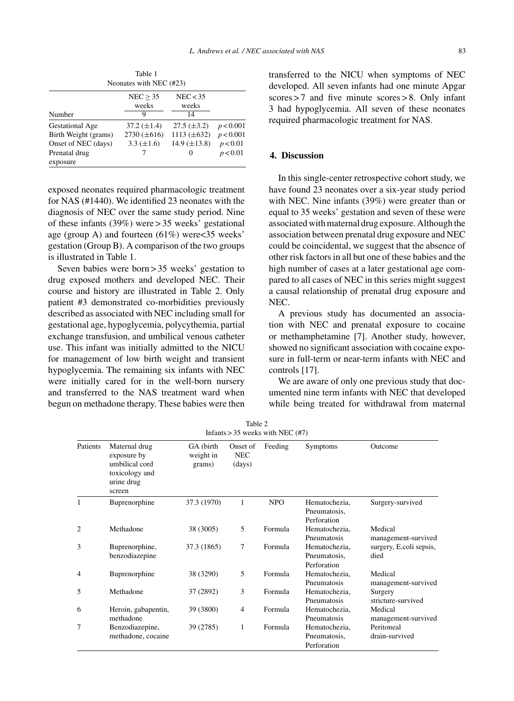| Neonates with NEC (#23) |                        |                         |           |  |  |  |  |
|-------------------------|------------------------|-------------------------|-----------|--|--|--|--|
| Number                  | NEC > 35<br>weeks<br>Q | NEC < 35<br>weeks<br>14 |           |  |  |  |  |
| Gestational Age         | $37.2 \ (\pm 1.4)$     | $27.5 (\pm 3.2)$        | p < 0.001 |  |  |  |  |
| Birth Weight (grams)    | $2730 (\pm 616)$       | 1113 $(\pm 632)$        | p < 0.001 |  |  |  |  |
| Onset of NEC (days)     | $3.3 \ (\pm 1.6)$      | $14.9 \ (\pm 13.8)$     | p < 0.01  |  |  |  |  |
| Prenatal drug           |                        | 0                       | p < 0.01  |  |  |  |  |
| exposure                |                        |                         |           |  |  |  |  |

Table 1

exposed neonates required pharmacologic treatment for NAS (#1440). We identified 23 neonates with the diagnosis of NEC over the same study period. Nine of these infants (39%) were > 35 weeks' gestational age (group A) and fourteen (61%) were<35 weeks' gestation (Group B). A comparison of the two groups is illustrated in Table 1.

Seven babies were born > 35 weeks' gestation to drug exposed mothers and developed NEC. Their course and history are illustrated in Table 2. Only patient #3 demonstrated co-morbidities previously described as associated with NEC including small for gestational age, hypoglycemia, polycythemia, partial exchange transfusion, and umbilical venous catheter use. This infant was initially admitted to the NICU for management of low birth weight and transient hypoglycemia. The remaining six infants with NEC were initially cared for in the well-born nursery and transferred to the NAS treatment ward when begun on methadone therapy. These babies were then

transferred to the NICU when symptoms of NEC developed. All seven infants had one minute Apgar scores > 7 and five minute scores > 8. Only infant 3 had hypoglycemia. All seven of these neonates required pharmacologic treatment for NAS.

### **4. Discussion**

In this single-center retrospective cohort study, we have found 23 neonates over a six-year study period with NEC. Nine infants (39%) were greater than or equal to 35 weeks' gestation and seven of these were associated with maternal drug exposure. Although the association between prenatal drug exposure and NEC could be coincidental, we suggest that the absence of other risk factors in all but one of these babies and the high number of cases at a later gestational age compared to all cases of NEC in this series might suggest a causal relationship of prenatal drug exposure and NEC.

A previous study has documented an association with NEC and prenatal exposure to cocaine or methamphetamine [7]. Another study, however, showed no significant association with cocaine exposure in full-term or near-term infants with NEC and controls [17].

We are aware of only one previous study that documented nine term infants with NEC that developed while being treated for withdrawal from maternal

|                |                                                                                          |                                  |                                  | Infants $> 35$ weeks with NEC (#7) |                                              |                                 |
|----------------|------------------------------------------------------------------------------------------|----------------------------------|----------------------------------|------------------------------------|----------------------------------------------|---------------------------------|
| Patients       | Maternal drug<br>exposure by<br>umbilical cord<br>toxicology and<br>urine drug<br>screen | GA (birth<br>weight in<br>grams) | Onset of<br><b>NEC</b><br>(days) | Feeding                            | Symptoms                                     | Outcome                         |
| 1              | Buprenorphine                                                                            | 37.3 (1970)                      | 1                                | <b>NPO</b>                         | Hematochezia.<br>Pneumatosis,<br>Perforation | Surgery-survived                |
| $\overline{c}$ | Methadone                                                                                | 38 (3005)                        | 5                                | Formula                            | Hematochezia,<br>Pneumatosis                 | Medical<br>management-survived  |
| 3              | Buprenorphine,<br>benzodiazepine                                                         | 37.3 (1865)                      | 7                                | Formula                            | Hematochezia,<br>Pneumatosis,<br>Perforation | surgery, E.coli sepsis,<br>died |
| 4              | Buprenorphine                                                                            | 38 (3290)                        | 5                                | Formula                            | Hematochezia,<br>Pneumatosis                 | Medical<br>management-survived  |
| 5              | Methadone                                                                                | 37 (2892)                        | 3                                | Formula                            | Hematochezia,<br>Pneumatosis                 | Surgery<br>stricture-survived   |
| 6              | Heroin, gabapentin,<br>methadone                                                         | 39 (3800)                        | 4                                | Formula                            | Hematochezia.<br>Pneumatosis                 | Medical<br>management-survived  |
| 7              | Benzodiazepine,<br>methadone, cocaine                                                    | 39 (2785)                        | 1                                | Formula                            | Hematochezia,<br>Pneumatosis,<br>Perforation | Peritoneal<br>drain-survived    |

Table 2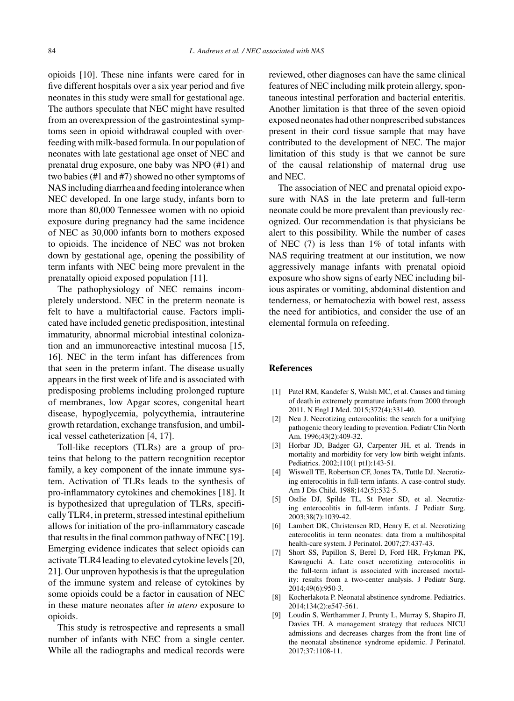opioids [10]. These nine infants were cared for in five different hospitals over a six year period and five neonates in this study were small for gestational age. The authors speculate that NEC might have resulted from an overexpression of the gastrointestinal symptoms seen in opioid withdrawal coupled with overfeeding with milk-based formula. In our population of neonates with late gestational age onset of NEC and prenatal drug exposure, one baby was NPO (#1) and two babies (#1 and #7) showed no other symptoms of NAS including diarrhea and feeding intolerance when NEC developed. In one large study, infants born to more than 80,000 Tennessee women with no opioid exposure during pregnancy had the same incidence of NEC as 30,000 infants born to mothers exposed to opioids. The incidence of NEC was not broken down by gestational age, opening the possibility of term infants with NEC being more prevalent in the prenatally opioid exposed population [11].

The pathophysiology of NEC remains incompletely understood. NEC in the preterm neonate is felt to have a multifactorial cause. Factors implicated have included genetic predisposition, intestinal immaturity, abnormal microbial intestinal colonization and an immunoreactive intestinal mucosa [15, 16]. NEC in the term infant has differences from that seen in the preterm infant. The disease usually appears in the first week of life and is associated with predisposing problems including prolonged rupture of membranes, low Apgar scores, congenital heart disease, hypoglycemia, polycythemia, intrauterine growth retardation, exchange transfusion, and umbilical vessel catheterization [4, 17].

Toll-like receptors (TLRs) are a group of proteins that belong to the pattern recognition receptor family, a key component of the innate immune system. Activation of TLRs leads to the synthesis of pro-inflammatory cytokines and chemokines [18]. It is hypothesized that upregulation of TLRs, specifically TLR4, in preterm, stressed intestinal epithelium allows for initiation of the pro-inflammatory cascade that results in the final common pathway of NEC [19]. Emerging evidence indicates that select opioids can activate TLR4 leading to elevated cytokine levels [20, 21]. Our unproven hypothesis is that the upregulation of the immune system and release of cytokines by some opioids could be a factor in causation of NEC in these mature neonates after *in utero* exposure to opioids.

This study is retrospective and represents a small number of infants with NEC from a single center. While all the radiographs and medical records were

reviewed, other diagnoses can have the same clinical features of NEC including milk protein allergy, spontaneous intestinal perforation and bacterial enteritis. Another limitation is that three of the seven opioid exposed neonates had other nonprescribed substances present in their cord tissue sample that may have contributed to the development of NEC. The major limitation of this study is that we cannot be sure of the causal relationship of maternal drug use and NEC.

The association of NEC and prenatal opioid exposure with NAS in the late preterm and full-term neonate could be more prevalent than previously recognized. Our recommendation is that physicians be alert to this possibility. While the number of cases of NEC  $(7)$  is less than 1% of total infants with NAS requiring treatment at our institution, we now aggressively manage infants with prenatal opioid exposure who show signs of early NEC including bilious aspirates or vomiting, abdominal distention and tenderness, or hematochezia with bowel rest, assess the need for antibiotics, and consider the use of an elemental formula on refeeding.

#### **References**

- [1] Patel RM, Kandefer S, Walsh MC, et al. Causes and timing of death in extremely premature infants from 2000 through 2011. N Engl J Med. 2015;372(4):331-40.
- [2] Neu J. Necrotizing enterocolitis: the search for a unifying pathogenic theory leading to prevention. Pediatr Clin North Am. 1996;43(2):409-32.
- [3] Horbar JD, Badger GJ, Carpenter JH, et al. Trends in mortality and morbidity for very low birth weight infants. Pediatrics. 2002;110(1 pt1):143-51.
- [4] Wiswell TE, Robertson CF, Jones TA, Tuttle DJ. Necrotizing enterocolitis in full-term infants. A case-control study. Am J Dis Child. 1988;142(5):532-5.
- [5] Ostlie DJ, Spilde TL, St Peter SD, et al. Necrotizing enterocolitis in full-term infants. J Pediatr Surg. 2003;38(7):1039-42.
- [6] Lambert DK, Christensen RD, Henry E, et al. Necrotizing enterocolitis in term neonates: data from a multihospital health-care system. J Perinatol. 2007;27:437-43.
- [7] Short SS, Papillon S, Berel D, Ford HR, Frykman PK, Kawaguchi A. Late onset necrotizing enterocolitis in the full-term infant is associated with increased mortality: results from a two-center analysis. J Pediatr Surg. 2014;49(6):950-3.
- [8] Kocherlakota P. Neonatal abstinence syndrome. Pediatrics. 2014;134(2):e547-561.
- [9] Loudin S, Werthammer J, Prunty L, Murray S, Shapiro JI, Davies TH. A management strategy that reduces NICU admissions and decreases charges from the front line of the neonatal abstinence syndrome epidemic. J Perinatol. 2017;37:1108-11.